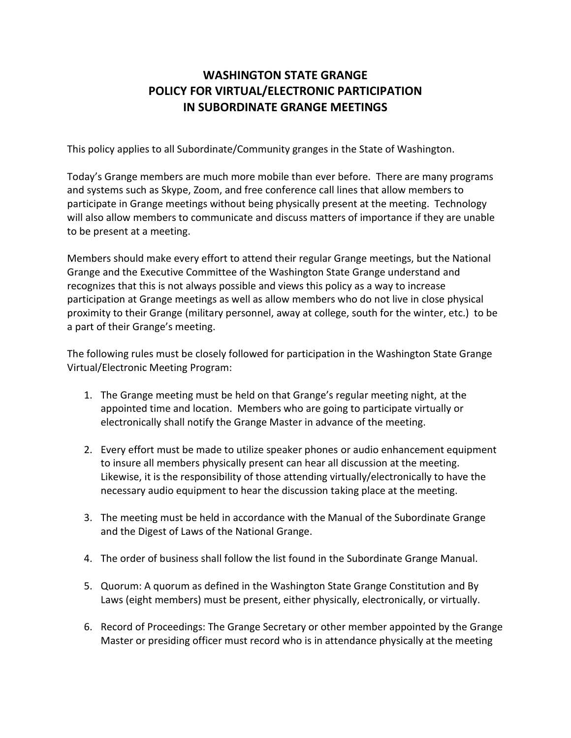## **WASHINGTON STATE GRANGE POLICY FOR VIRTUAL/ELECTRONIC PARTICIPATION IN SUBORDINATE GRANGE MEETINGS**

This policy applies to all Subordinate/Community granges in the State of Washington.

Today's Grange members are much more mobile than ever before. There are many programs and systems such as Skype, Zoom, and free conference call lines that allow members to participate in Grange meetings without being physically present at the meeting. Technology will also allow members to communicate and discuss matters of importance if they are unable to be present at a meeting.

Members should make every effort to attend their regular Grange meetings, but the National Grange and the Executive Committee of the Washington State Grange understand and recognizes that this is not always possible and views this policy as a way to increase participation at Grange meetings as well as allow members who do not live in close physical proximity to their Grange (military personnel, away at college, south for the winter, etc.) to be a part of their Grange's meeting.

The following rules must be closely followed for participation in the Washington State Grange Virtual/Electronic Meeting Program:

- 1. The Grange meeting must be held on that Grange's regular meeting night, at the appointed time and location. Members who are going to participate virtually or electronically shall notify the Grange Master in advance of the meeting.
- 2. Every effort must be made to utilize speaker phones or audio enhancement equipment to insure all members physically present can hear all discussion at the meeting. Likewise, it is the responsibility of those attending virtually/electronically to have the necessary audio equipment to hear the discussion taking place at the meeting.
- 3. The meeting must be held in accordance with the Manual of the Subordinate Grange and the Digest of Laws of the National Grange.
- 4. The order of business shall follow the list found in the Subordinate Grange Manual.
- 5. Quorum: A quorum as defined in the Washington State Grange Constitution and By Laws (eight members) must be present, either physically, electronically, or virtually.
- 6. Record of Proceedings: The Grange Secretary or other member appointed by the Grange Master or presiding officer must record who is in attendance physically at the meeting